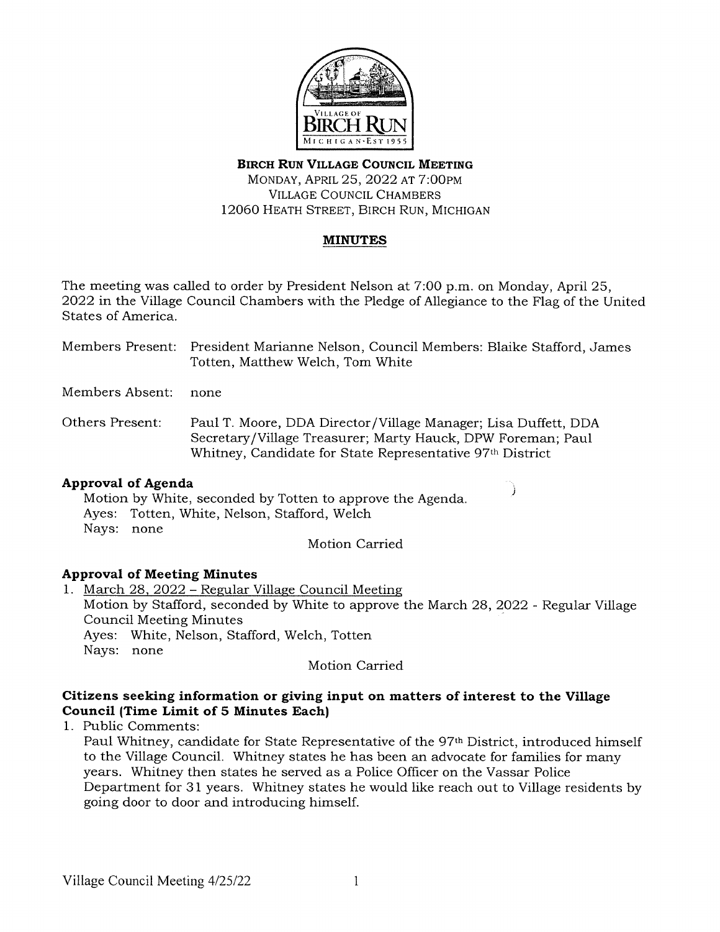

## **BIRCH RUN VILLAGE COUNCIL MEETING**  MONDAY, APRIL 25, 2022 AT 7:00PM VILLAGE COUNCIL CHAMBERS 12060 HEATH STREET, BIRCH RUN, MICHIGAN

# **MINUTES**

The meeting was called to order by President Nelson at 7:00 p.m. on Monday, April 25, 2022 in the Village Council Chambers with the Pledge of Allegiance to the Flag of the United States of America.

Members Present: President Marianne Nelson, Council Members: Blaike Stafford, James Totten, Matthew Welch, Tom White

Members Absent: none

Others Present: Paul T. Moore, DDA Director /Village Manager; Lisa Duffett, DDA Secretary /Village Treasurer; Marty Hauck, DPW Foreman; Paul Whitney, Candidate for State Representative 97th District

### **Approval of Agenda**

Motion by White, seconded by Totten to approve the Agenda. Ayes: Totten, White, Nelson, Stafford, Welch Nays: none

Motion Carried

# **Approval of Meeting Minutes**

1. March 28, 2022 - Regular Village Council Meeting Motion by Stafford, seconded by White to approve the March 28, 2022 - Regular Village Council Meeting Minutes Ayes: White, Nelson, Stafford, Welch, Totten Nays: none

Motion Carried

### **Citizens seeking information or giving input on matters of interest to the Village Council (Time Limit of 5 Minutes Each)**

1. Public Comments:

Paul Whitney, candidate for State Representative of the 97th District, introduced himself to the Village Council. Whitney states he has been an advocate for families for many years. Whitney then states he served as a Police Officer on the Vassar Police Department for 31 years. Whitney states he would like reach out to Village residents by going door to door and introducing himself.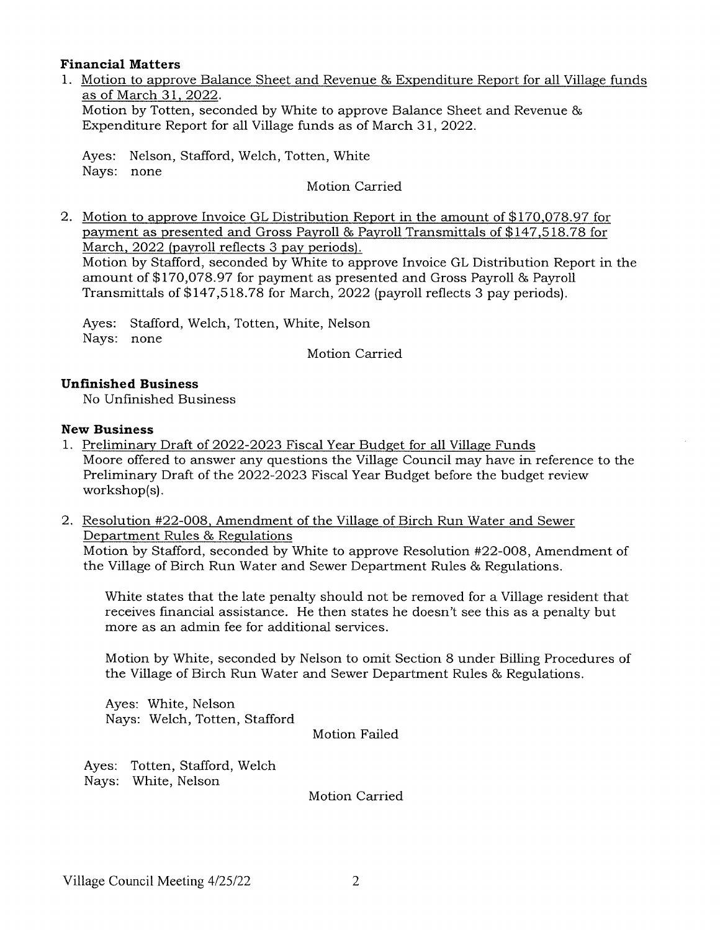#### **Financial Matters**

1. Motion to approve Balance Sheet and Revenue & Expenditure Report for all Village funds as of March 31, 2022. Motion by Totten, seconded by White to approve Balance Sheet and Revenue &

Expenditure Report for all Village funds as of March 31, 2022.

Ayes: Nelson, Stafford, Welch, Totten, White Nays: none

Motion Carried

2. Motion to approve Invoice GL Distribution Report in the amount of \$170,078.97 for payment as presented and Gross Payroll & Payroll Transmittals of \$147,518.78 for March, 2022 (payroll reflects 3 pay periods). Motion by Stafford, seconded by White to approve Invoice GL Distribution Report in the amount of \$170,078.97 for payment as presented and Gross Payroll & Payroll

Transmittals of \$147,518.78 for March, 2022 (payroll reflects 3 pay periods).

Ayes: Stafford, Welch, Totten, White, Nelson Nays: none

Motion Carried

## **Unfinished Business**

No Unfinished Business

#### **New Business**

- 1. Preliminary Draft of 2022-2023 Fiscal Year Budget for all Village Funds Moore offered to answer any questions the Village Council may have in reference to the Preliminary Draft of the 2022-2023 Fiscal Year Budget before the budget review workshop(s).
- 2. Resolution #22-008, Amendment of the Village of Birch Run Water and Sewer Department Rules & Regulations

Motion by Stafford, seconded by White to approve Resolution #22-008, Amendment of the Village of Birch Run Water and Sewer Department Rules & Regulations.

White states that the late penalty should not be removed for a Village resident that receives financial assistance. He then states he doesn't see this as a penalty but more as an admin fee for additional services.

Motion by White, seconded by Nelson to omit Section 8 under Billing Procedures of the Village of Birch Run Water and Sewer Department Rules & Regulations.

Ayes: White, Nelson Nays: Welch, Totten, Stafford

Motion Failed

Ayes: Totten, Stafford, Welch Nays: White, Nelson

Motion Carried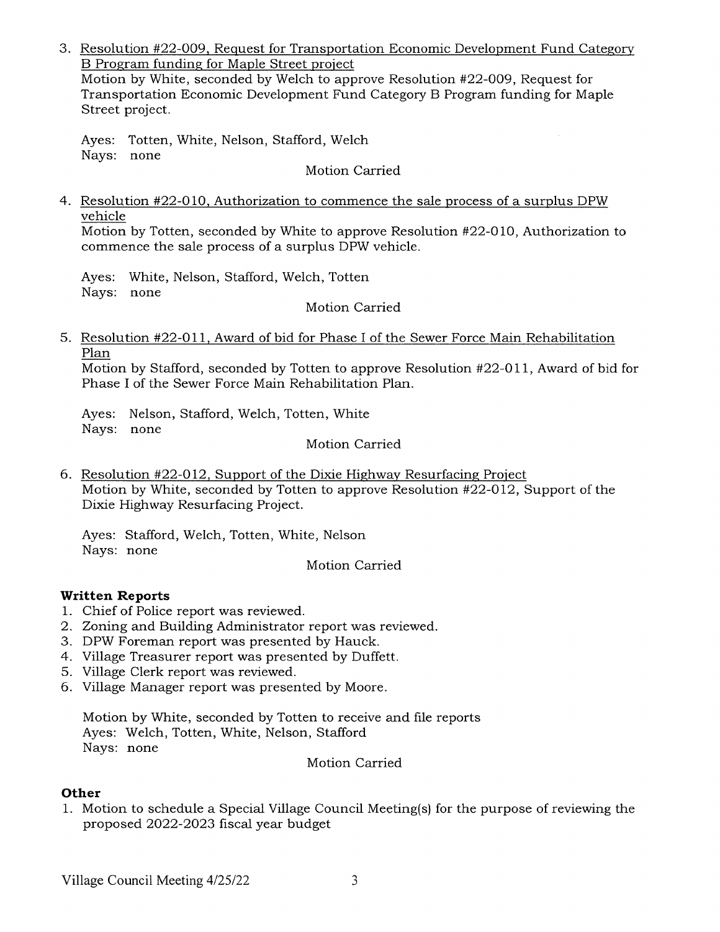3. Resolution #22-009, Request for Transportation Economic Development Fund Category B Program funding for Maple Street project Motion by White, seconded by Welch to approve Resolution #22-009, Request for

Transportation Economic Development Fund Category B Program funding for Maple Street project.

Ayes: Totten, White, Nelson, Stafford, Welch Nays: none

Motion Carried

4. Resolution #22-010, Authorization to commence the sale process of a surplus DPW vehicle

Motion by Totten, seconded by White to approve Resolution #22-010, Authorization to commence the sale process of a surplus DPW vehicle.

Ayes: White, Nelson, Stafford, Welch, Totten Nays: none

Motion Carried

5. Resolution #22-011, Award of bid for Phase I of the Sewer Force Main Rehabilitation Plan

Motion by Stafford, seconded by Totten to approve Resolution #22-011, Award of bid for Phase I of the Sewer Force Main Rehabilitation Plan.

Ayes: Nelson, Stafford, Welch, Totten, White Nays: none

Motion Carried

6. Resolution #22-012, Support of the Dixie Highway Resurfacing Project Motion by White, seconded by Totten to approve Resolution #22-012, Support of the Dixie Highway Resurfacing Project.

Ayes: Stafford, Welch, Totten, White, Nelson Nays: none

Motion Carried

# **Written Reports**

- 1. Chief of Police report was reviewed.
- 2. Zoning and Building Administrator report was reviewed.
- 3. DPW Foreman report was presented by Hauck.
- 4. Village Treasurer report was presented by Duffett.
- 5. Village Clerk report was reviewed.
- 6. Village Manager report was presented by Moore.

Motion by White, seconded by Totten to receive and file reports Ayes: Welch, Totten, White, Nelson, Stafford Nays: none

Motion Carried

# **Other**

1. Motion to schedule a Special Village Council Meeting(s) for the purpose of reviewing the proposed 2022-2023 fiscal year budget